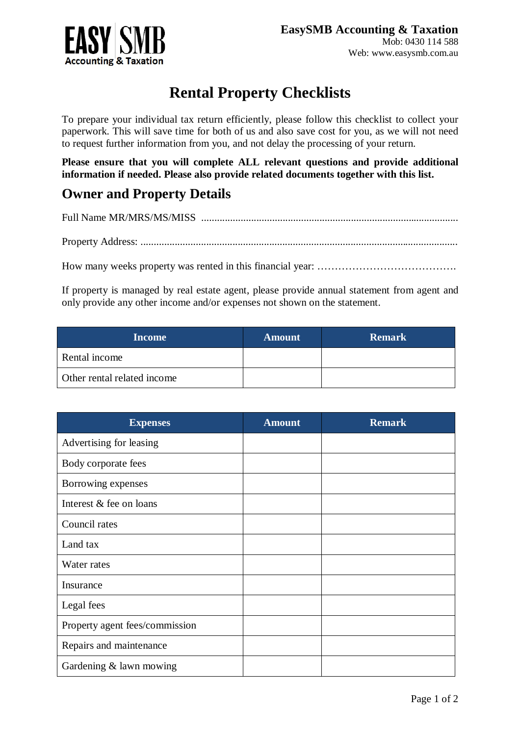

## **Rental Property Checklists**

To prepare your individual tax return efficiently, please follow this checklist to collect your paperwork. This will save time for both of us and also save cost for you, as we will not need to request further information from you, and not delay the processing of your return.

**Please ensure that you will complete ALL relevant questions and provide additional information if needed. Please also provide related documents together with this list.**

## **Owner and Property Details**

Full Name MR/MRS/MS/MISS ..................................................................................................

Property Address: .........................................................................................................................

How many weeks property was rented in this financial year: ………………………………………………………

If property is managed by real estate agent, please provide annual statement from agent and only provide any other income and/or expenses not shown on the statement.

| <b>Income</b>               | <b>Amount</b> | <b>Remark</b> |
|-----------------------------|---------------|---------------|
| Rental income               |               |               |
| Other rental related income |               |               |

| <b>Expenses</b>                | <b>Amount</b> | <b>Remark</b> |
|--------------------------------|---------------|---------------|
| Advertising for leasing        |               |               |
| Body corporate fees            |               |               |
| Borrowing expenses             |               |               |
| Interest & fee on loans        |               |               |
| Council rates                  |               |               |
| Land tax                       |               |               |
| Water rates                    |               |               |
| Insurance                      |               |               |
| Legal fees                     |               |               |
| Property agent fees/commission |               |               |
| Repairs and maintenance        |               |               |
| Gardening $&$ lawn mowing      |               |               |